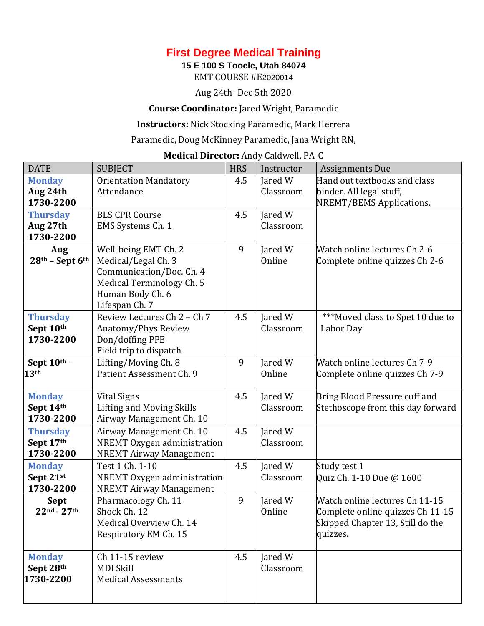## **First Degree Medical Training**

**15 E 100 S Tooele, Utah 84074**

EMT COURSE #E2020014

Aug 24th- Dec 5th 2020

**Course Coordinator:** Jared Wright, Paramedic

**Instructors:** Nick Stocking Paramedic, Mark Herrera

Paramedic, Doug McKinney Paramedic, Jana Wright RN,

**Medical Director:** Andy Caldwell, PA-C

| <b>DATE</b>                               | <b>SUBJECT</b>                                                                                                           | <b>HRS</b> | Instructor           | <b>Assignments Due</b>                                                                                             |
|-------------------------------------------|--------------------------------------------------------------------------------------------------------------------------|------------|----------------------|--------------------------------------------------------------------------------------------------------------------|
| <b>Monday</b><br>Aug 24th                 | <b>Orientation Mandatory</b><br>Attendance                                                                               | 4.5        | Jared W<br>Classroom | Hand out textbooks and class<br>binder. All legal stuff,                                                           |
| 1730-2200                                 |                                                                                                                          |            |                      | NREMT/BEMS Applications.                                                                                           |
| <b>Thursday</b>                           | <b>BLS CPR Course</b>                                                                                                    | 4.5        | Jared W              |                                                                                                                    |
| Aug 27th<br>1730-2200                     | EMS Systems Ch. 1                                                                                                        |            | Classroom            |                                                                                                                    |
| Aug<br>$28th$ – Sept $6th$                | Well-being EMT Ch. 2<br>Medical/Legal Ch. 3<br>Communication/Doc. Ch. 4<br>Medical Terminology Ch. 5<br>Human Body Ch. 6 | 9          | Jared W<br>Online    | Watch online lectures Ch 2-6<br>Complete online quizzes Ch 2-6                                                     |
|                                           | Lifespan Ch. 7                                                                                                           |            |                      |                                                                                                                    |
| <b>Thursday</b><br>Sept 10th<br>1730-2200 | Review Lectures Ch 2 - Ch 7<br>Anatomy/Phys Review<br>Don/doffing PPE<br>Field trip to dispatch                          | 4.5        | Jared W<br>Classroom | ***Moved class to Spet 10 due to<br>Labor Day                                                                      |
| Sept 10th -<br>13 <sup>th</sup>           | Lifting/Moving Ch. 8<br>Patient Assessment Ch. 9                                                                         | 9          | Jared W<br>Online    | Watch online lectures Ch 7-9<br>Complete online quizzes Ch 7-9                                                     |
| <b>Monday</b><br>Sept 14th<br>1730-2200   | <b>Vital Signs</b><br>Lifting and Moving Skills<br>Airway Management Ch. 10                                              | 4.5        | Jared W<br>Classroom | Bring Blood Pressure cuff and<br>Stethoscope from this day forward                                                 |
| <b>Thursday</b><br>Sept 17th<br>1730-2200 | Airway Management Ch. 10<br>NREMT Oxygen administration<br><b>NREMT Airway Management</b>                                | 4.5        | Jared W<br>Classroom |                                                                                                                    |
| <b>Monday</b><br>Sept 21st<br>1730-2200   | Test 1 Ch. 1-10<br>NREMT Oxygen administration<br><b>NREMT Airway Management</b>                                         | 4.5        | Jared W<br>Classroom | Study test 1<br>Quiz Ch. 1-10 Due @ 1600                                                                           |
| <b>Sept</b><br>$22nd - 27th$              | Pharmacology Ch. 11<br>Shock Ch. 12<br>Medical Overview Ch. 14<br>Respiratory EM Ch. 15                                  | 9          | Jared W<br>Online    | Watch online lectures Ch 11-15<br>Complete online quizzes Ch 11-15<br>Skipped Chapter 13, Still do the<br>quizzes. |
| <b>Monday</b><br>Sept 28th<br>1730-2200   | Ch 11-15 review<br><b>MDI Skill</b><br><b>Medical Assessments</b>                                                        | 4.5        | Jared W<br>Classroom |                                                                                                                    |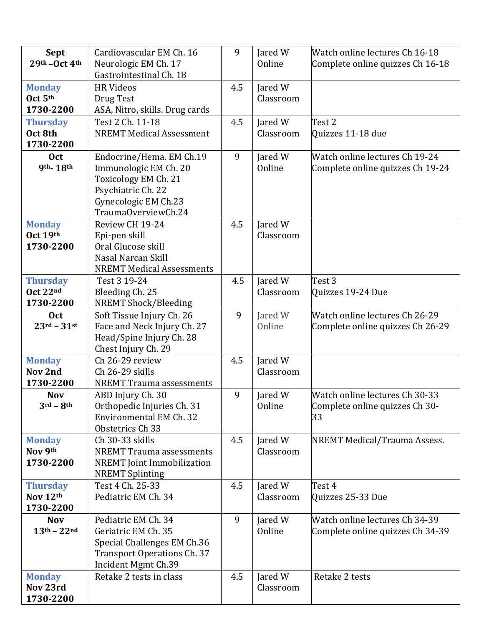| <b>Sept</b>                 | Cardiovascular EM Ch. 16                               | 9   | Jared W              | Watch online lectures Ch 16-18   |
|-----------------------------|--------------------------------------------------------|-----|----------------------|----------------------------------|
| $29th - Oct 4th$            | Neurologic EM Ch. 17                                   |     | Online               | Complete online quizzes Ch 16-18 |
|                             | Gastrointestinal Ch. 18                                |     |                      |                                  |
| <b>Monday</b>               | <b>HR Videos</b>                                       | 4.5 | Jared W              |                                  |
| Oct 5th                     | Drug Test                                              |     | Classroom            |                                  |
| 1730-2200                   | ASA, Nitro, skills. Drug cards                         |     |                      |                                  |
| <b>Thursday</b>             | Test 2 Ch. 11-18                                       | 4.5 | Jared W              | Test 2                           |
| Oct 8th                     | <b>NREMT Medical Assessment</b>                        |     | Classroom            | Quizzes 11-18 due                |
| 1730-2200                   |                                                        |     |                      |                                  |
| <b>Oct</b>                  | Endocrine/Hema. EM Ch.19                               | 9   | Jared W              | Watch online lectures Ch 19-24   |
| 9th. 18th                   | Immunologic EM Ch. 20                                  |     | Online               | Complete online quizzes Ch 19-24 |
|                             | Toxicology EM Ch. 21                                   |     |                      |                                  |
|                             | Psychiatric Ch. 22                                     |     |                      |                                  |
|                             | Gynecologic EM Ch.23                                   |     |                      |                                  |
|                             | TraumaOverviewCh.24                                    |     |                      |                                  |
| <b>Monday</b>               | Review CH 19-24                                        | 4.5 | Jared W              |                                  |
| Oct 19th                    | Epi-pen skill                                          |     | Classroom            |                                  |
| 1730-2200                   | Oral Glucose skill                                     |     |                      |                                  |
|                             | Nasal Narcan Skill<br><b>NREMT Medical Assessments</b> |     |                      |                                  |
| <b>Thursday</b>             | Test 3 19-24                                           | 4.5 | Jared W              | Test 3                           |
| Oct 22nd                    | Bleeding Ch. 25                                        |     | Classroom            | Quizzes 19-24 Due                |
| 1730-2200                   | <b>NREMT Shock/Bleeding</b>                            |     |                      |                                  |
| <b>Oct</b>                  | Soft Tissue Injury Ch. 26                              | 9   | Jared W              | Watch online lectures Ch 26-29   |
| $23rd - 31st$               | Face and Neck Injury Ch. 27                            |     | Online               | Complete online quizzes Ch 26-29 |
|                             | Head/Spine Injury Ch. 28                               |     |                      |                                  |
|                             | Chest Injury Ch. 29                                    |     |                      |                                  |
| <b>Monday</b>               | Ch 26-29 review                                        | 4.5 | Jared W              |                                  |
| Nov 2nd                     | Ch 26-29 skills                                        |     | Classroom            |                                  |
| 1730-2200                   | <b>NREMT Trauma assessments</b>                        |     |                      |                                  |
| <b>Nov</b>                  | ABD Injury Ch. 30                                      | 9   | Jared W              | Watch online lectures Ch 30-33   |
| $3rd - 8th$                 | Orthopedic Injuries Ch. 31                             |     | Online               | Complete online quizzes Ch 30-   |
|                             | Environmental EM Ch. 32                                |     |                      | 33                               |
|                             | Obstetrics Ch 33                                       |     |                      |                                  |
| <b>Monday</b>               | Ch 30-33 skills                                        | 4.5 | Jared W              | NREMT Medical/Trauma Assess.     |
| Nov 9th                     | <b>NREMT Trauma assessments</b>                        |     | Classroom            |                                  |
| 1730-2200                   | <b>NREMT</b> Joint Immobilization                      |     |                      |                                  |
|                             | <b>NREMT Splinting</b>                                 |     |                      |                                  |
| <b>Thursday</b><br>Nov 12th | Test 4 Ch. 25-33<br>Pediatric EM Ch. 34                | 4.5 | Jared W<br>Classroom | Test 4<br>Quizzes 25-33 Due      |
| 1730-2200                   |                                                        |     |                      |                                  |
| <b>Nov</b>                  | Pediatric EM Ch. 34                                    | 9   | Jared W              | Watch online lectures Ch 34-39   |
| $13th - 22nd$               | Geriatric EM Ch. 35                                    |     | Online               | Complete online quizzes Ch 34-39 |
|                             | Special Challenges EM Ch.36                            |     |                      |                                  |
|                             | <b>Transport Operations Ch. 37</b>                     |     |                      |                                  |
|                             | Incident Mgmt Ch.39                                    |     |                      |                                  |
| <b>Monday</b>               | Retake 2 tests in class                                | 4.5 | Jared W              | Retake 2 tests                   |
| Nov 23rd                    |                                                        |     | Classroom            |                                  |
| 1730-2200                   |                                                        |     |                      |                                  |